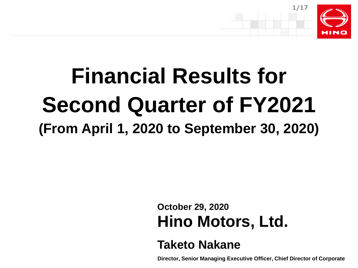

# **Financial Results for Second Quarter of FY2021 (From April 1, 2020 to September 30, 2020)**

**October 29, 2020 Hino Motors, Ltd.**

## **Taketo Nakane**

**Director, Senior Managing Executive Officer, Chief Director of Corporate**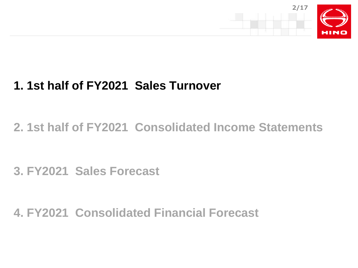



**2. 1st half of FY2021 Consolidated Income Statements**

**3. FY2021 Sales Forecast**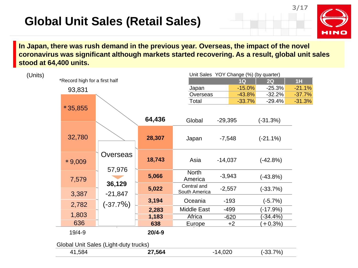# **Global Unit Sales (Retail Sales)**

**3/17**



**In Japan, there was rush demand in the previous year. Overseas, the impact of the novel coronavirus was significant although markets started recovering. As a result, global unit sales stood at 64,400 units.**

| (Units) |                               |                     |            |                              |           |          | Unit Sales YOY Change (%) (by quarter) |          |
|---------|-------------------------------|---------------------|------------|------------------------------|-----------|----------|----------------------------------------|----------|
|         | *Record high for a first half |                     |            |                              |           | 1Q       | 2Q                                     | 1H       |
|         | 93,831                        |                     |            | Japan                        |           | $-15.0%$ | $-25.3%$                               | $-21.1%$ |
|         |                               |                     |            | Overseas                     |           | $-43.8%$ | $-32.2%$                               | $-37.7%$ |
|         |                               |                     |            | Total                        |           | $-33.7%$ | $-29.4%$                               | $-31.3%$ |
|         | $*35,855$                     |                     |            |                              |           |          |                                        |          |
|         |                               |                     | 64,436     | Global                       | $-29,395$ |          | $(-31.3%)$                             |          |
|         | 32,780                        |                     | 28,307     | Japan                        | $-7,548$  |          | $(-21.1\%)$                            |          |
|         | $*9,009$                      | Overseas<br>57,976  | 18,743     | Asia                         | $-14,037$ |          | $(-42.8%)$                             |          |
|         | 7,579                         |                     | 5,066      | <b>North</b><br>America      | $-3,943$  |          | $(-43.8%)$                             |          |
|         | 3,387                         | 36,129<br>$-21,847$ | 5,022      | Central and<br>South America | $-2,557$  |          | $(-33.7%)$                             |          |
|         | 2,782                         | $(-37.7\%)$         | 3,194      | Oceania                      | $-193$    |          | $(-5.7%)$                              |          |
|         |                               |                     | 2,283      | <b>Middle East</b>           | $-499$    |          | $(-17.9%)$                             |          |
|         | 1,803                         |                     | 1,183      | Africa                       | $-620$    |          | $-34.4%$                               |          |
|         | 636                           |                     | 638        | Europe                       |           | $+2$     | $+0.3%$                                |          |
|         | 19/4-9                        |                     | $20/4 - 9$ |                              |           |          |                                        |          |
|         |                               |                     |            |                              |           |          |                                        |          |

Global Unit Sales (Light-duty trucks)

|                | . . |             |             |      |
|----------------|-----|-------------|-------------|------|
| $ \sim$<br>521 |     | ---<br>.560 | חרח<br>.uzu | 70/0 |
|                |     |             |             |      |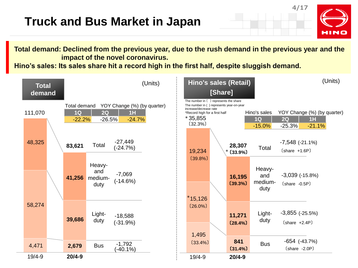**4/17** HINO

**Total demand: Declined from the previous year, due to the rush demand in the previous year and the impact of the novel coronavirus.**

**Hino's sales: Its sales share hit a record high in the first half, despite sluggish demand.**

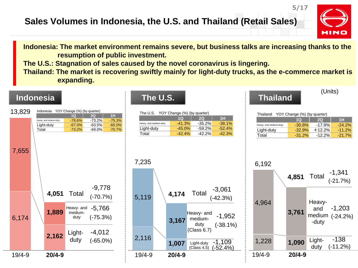#### **Sales Volumes in Indonesia, the U.S. and Thailand (Retail Sales)**

HINO

(Units)

**Indonesia: The market environment remains severe, but business talks are increasing thanks to the resumption of public investment.**

**The U.S.: Stagnation of sales caused by the novel coronavirus is lingering.** 

**Thailand: The market is recovering swiftly mainly for light-duty trucks, as the e-commerce market is expanding.**

#### **Indonesia The U.S. Thailand**

| 13,829 | Indonesia              | YOY Change (%) (by quarter) |                      |          |
|--------|------------------------|-----------------------------|----------------------|----------|
|        |                        | 1Q                          | 2Q                   | 1H       |
|        | Heavy- and medium-duty | $-78.6%$                    | $-73.2%$             | $-75.3%$ |
|        | Light-duty             | $-67.0%$                    | $-63.5%$             | $-65.0%$ |
| 7,655  | Total                  | $-73.2%$                    | $-69.0%$<br>$-9,778$ | $-70.7%$ |
|        | 4,051                  | Total                       | $(-70.7%)$           |          |
|        |                        |                             |                      |          |
|        |                        | Heavy- and                  | $-5,766$             |          |
| 6,174  | 1,889                  | medium-<br>duty             | $(-75.3%)$           |          |
|        |                        | Light-                      | -4,012               |          |
|        | 2,162                  | duty                        | $(-65.0\%)$          |          |

| YOY Change (%) (by quarter)<br>The U.S. |           |           |          |  |  |  |  |
|-----------------------------------------|-----------|-----------|----------|--|--|--|--|
| 4H<br>TIO)<br><b>20</b>                 |           |           |          |  |  |  |  |
| Heavy- and medium-duty                  | $-41.3\%$ | $-35.2\%$ | $-38.1%$ |  |  |  |  |
| Light-duty                              | $-45.0%$  | $-59.2\%$ | $-52.4%$ |  |  |  |  |
| Total                                   | $-42.4\%$ | $-42.2\%$ | $-42.3%$ |  |  |  |  |

| YOY Change (%) (by quarter)<br>Thailand |           |           |          |  |  |  |  |
|-----------------------------------------|-----------|-----------|----------|--|--|--|--|
| 4H.<br>10<br>20                         |           |           |          |  |  |  |  |
| Heavy- and medium-duty                  | $-30.8%$  | $-17.9%$  | $-24.2%$ |  |  |  |  |
| Light-duty                              | $-32.9%$  | $+12.2%$  | $-11.2%$ |  |  |  |  |
| Total                                   | $-31.2\%$ | $-12.2\%$ | $-21.7%$ |  |  |  |  |

**5/17**

#### 5,119 **3,167** medium-<br> **1,952** -1,952 2,116 7,235 **4.174** Total -3,061 Heavy- and mediumduty (Class 6.7) Total

19/4-9 **20/4-9**

(-38.1%)

(-42.3%)

1,007 Light-duty -1,109

Light-duty

 $(Class 4.5)$   $(-52.4%)$ 

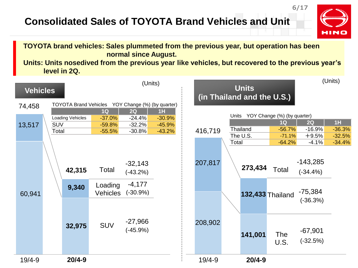### **Consolidated Sales of TOYOTA Brand Vehicles and Unit**



**6/17**

#### **TOYOTA brand vehicles: Sales plummeted from the previous year, but operation has been normal since August.**

**Units: Units nosedived from the previous year like vehicles, but recovered to the previous year's level in 2Q.**

| <b>Vehicles</b> |                                                   |                                                   | (Units)                                                                       |                                        |                    |       | <b>Units</b><br>(in Thailand and the U.S.)                |                                              |                                                                             | (Units)                    |
|-----------------|---------------------------------------------------|---------------------------------------------------|-------------------------------------------------------------------------------|----------------------------------------|--------------------|-------|-----------------------------------------------------------|----------------------------------------------|-----------------------------------------------------------------------------|----------------------------|
| 74,458          | TOYOTA Brand Vehicles YOY Change (%) (by quarter) |                                                   |                                                                               |                                        |                    |       |                                                           |                                              |                                                                             |                            |
| 13,517          | Loading Vehicles<br><b>SUV</b><br>Total           | 1Q<br>$-37.0%$<br>$-59.8%$<br>$-55.5%$            | 2Q<br>$-24.4%$<br>$-32.2%$<br>$-30.8%$                                        | 1H<br>$-30.9%$<br>$-45.9%$<br>$-43.2%$ | 416,719            |       | Units YOY Change (%) (by quarter)<br>Thailand<br>The U.S. | 1Q<br>$-56.7%$<br>$-71.1%$                   | 2Q<br>$-16.9%$<br>$+9.5%$                                                   | 1H<br>$-36.3%$<br>$-32.5%$ |
| 60,941          | 42,315<br>9,340<br>32,975                         | Total<br>Loading<br><b>Vehicles</b><br><b>SUV</b> | $-32,143$<br>$(-43.2%)$<br>$-4,177$<br>$(-30.9\%)$<br>$-27,966$<br>$(-45.9%)$ |                                        | 207,817<br>208,902 | Total | 273,434                                                   | $-64.2%$<br>Total<br><b>132,433 Thailand</b> | $-4.1%$<br>$-143,285$<br>$(-34.4%)$<br>$-75,384$<br>$(-36.3%)$<br>$-67,901$ | $-34.4%$                   |
| $19/4 - 9$      | $20/4 - 9$                                        |                                                   |                                                                               |                                        | $19/4 - 9$         |       | 141,001<br>$20/4 - 9$                                     | <b>The</b><br>U.S.                           | $(-32.5%)$                                                                  |                            |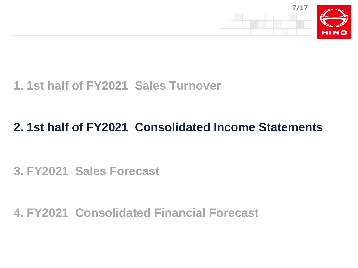

# **1. 1st half of FY2021 Sales Turnover**

# **2. 1st half of FY2021 Consolidated Income Statements**

**3. FY2021 Sales Forecast**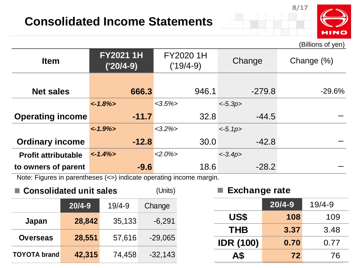# **Consolidated Income Statements**



(Billions of yen)

**8/17**

| <b>Item</b>                | <b>FY20211H</b><br>$('20/4-9)$ | FY2020 1H<br>$('19/4-9)$ | Change     | Change (%) |
|----------------------------|--------------------------------|--------------------------|------------|------------|
| <b>Net sales</b>           | 666.3                          | 946.1                    | $-279.8$   | $-29.6%$   |
|                            | $< -1.8\%>$                    | $<3.5\%$                 | $<-5.3p>$  |            |
| <b>Operating income</b>    | $-11.7$                        | 32.8                     | $-44.5$    |            |
|                            | $\langle -1.9\% \rangle$       | $<3.2\%$                 | $<-5.1p>$  |            |
| <b>Ordinary income</b>     | $-12.8$                        | 30.0                     | $-42.8$    |            |
| <b>Profit attributable</b> | $\langle -1.4\% \rangle$       | $<2.0\%$                 | $< -3.4p>$ |            |
| to owners of parent        | $-9.6$                         | 18.6                     | $-28.2$    |            |

Note: Figures in parentheses (<>) indicate operating income margin.

| ■ Consolidated unit sales |            | (Units)    |           |
|---------------------------|------------|------------|-----------|
|                           | $20/4 - 9$ | $19/4 - 9$ | Change    |
| Japan                     | 28,842     | 35,133     | $-6,291$  |
|                           |            |            |           |
| <b>Overseas</b>           | 28,551     | 57,616     | $-29,065$ |
| <b>TOYOTA brand</b>       | 42,315     | 74,458     | $-32,143$ |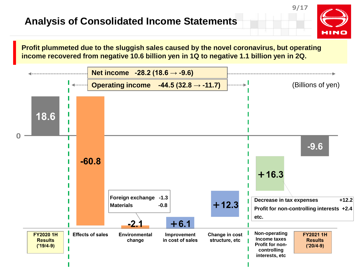#### **Analysis of Consolidated Income Statements**

**Profit plummeted due to the sluggish sales caused by the novel coronavirus, but operating income recovered from negative 10.6 billion yen in 1Q to negative 1.1 billion yen in 2Q.**

**9/17**

HIN

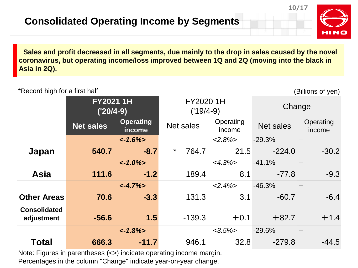

**10/17**

**Sales and profit decreased in all segments, due mainly to the drop in sales caused by the novel coronavirus, but operating income/loss improved between 1Q and 2Q (moving into the black in Asia in 2Q).**

| *Record high for a first half     |                                |                            |                          |           |                     |           | (Billions of yen)   |
|-----------------------------------|--------------------------------|----------------------------|--------------------------|-----------|---------------------|-----------|---------------------|
|                                   | <b>FY20211H</b><br>$('20/4-9)$ |                            | FY2020 1H<br>$('19/4-9)$ |           |                     | Change    |                     |
|                                   | <b>Net sales</b>               | <b>Operating</b><br>income |                          | Net sales | Operating<br>income | Net sales | Operating<br>income |
|                                   |                                | $~1.6\%$                   |                          |           | $<2.8\%>$           | $-29.3%$  |                     |
| Japan                             | 540.7                          | $-8.7$                     | $\star$                  | 764.7     | 21.5                | $-224.0$  | $-30.2$             |
|                                   |                                | $< -1.0\%>$                |                          |           | $<4.3\%>$           | $-41.1%$  |                     |
| <b>Asia</b>                       | 111.6                          | $-1.2$                     |                          | 189.4     | 8.1                 | $-77.8$   | $-9.3$              |
|                                   |                                | $< -4.7\%>$                |                          |           | $<2.4\%>$           | $-46.3%$  |                     |
| <b>Other Areas</b>                | 70.6                           | $-3.3$                     |                          | 131.3     | 3.1                 | $-60.7$   | $-6.4$              |
| <b>Consolidated</b><br>adjustment | $-56.6$                        | 1.5                        |                          | $-139.3$  | $+0.1$              | $+82.7$   | $+1.4$              |
|                                   |                                | $~1.8\%>$                  |                          |           | $<3.5\%$            | $-29.6%$  |                     |
| <b>Total</b>                      | 666.3                          | $-11.7$                    |                          | 946.1     | 32.8                | $-279.8$  | $-44.5$             |

Note: Figures in parentheses (<>) indicate operating income margin. Percentages in the column "Change" indicate year-on-year change.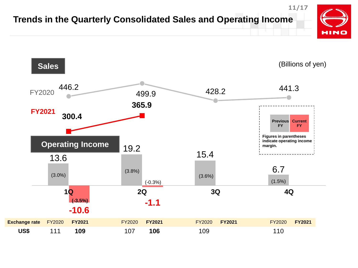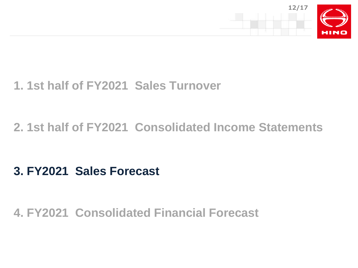

# **1. 1st half of FY2021 Sales Turnover**

# **2. 1st half of FY2021 Consolidated Income Statements**

# **3. FY2021 Sales Forecast**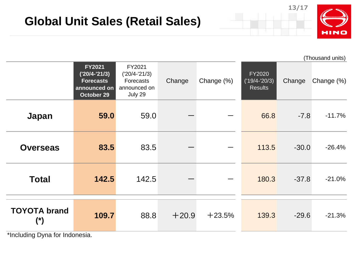

|                                               |                                                                                    |                                                                   |         |            |                                             |         | (Thousand units) |
|-----------------------------------------------|------------------------------------------------------------------------------------|-------------------------------------------------------------------|---------|------------|---------------------------------------------|---------|------------------|
|                                               | <b>FY2021</b><br>$('20/4-'21/3)$<br><b>Forecasts</b><br>announced on<br>October 29 | FY2021<br>$('20/4-'21/3)$<br>Forecasts<br>announced on<br>July 29 | Change  | Change (%) | FY2020<br>$(19/4 - 20/3)$<br><b>Results</b> | Change  | Change (%)       |
| Japan                                         | 59.0                                                                               | 59.0                                                              |         |            | 66.8                                        | $-7.8$  | $-11.7%$         |
| <b>Overseas</b>                               | 83.5                                                                               | 83.5                                                              |         |            | 113.5                                       | $-30.0$ | $-26.4%$         |
| <b>Total</b>                                  | 142.5                                                                              | 142.5                                                             |         |            | 180.3                                       | $-37.8$ | $-21.0%$         |
| <b>TOYOTA brand</b><br>$(\ddot{\phantom{a}})$ | 109.7                                                                              | 88.8                                                              | $+20.9$ | $+23.5%$   | 139.3                                       | $-29.6$ | $-21.3%$         |

\*Including Dyna for Indonesia.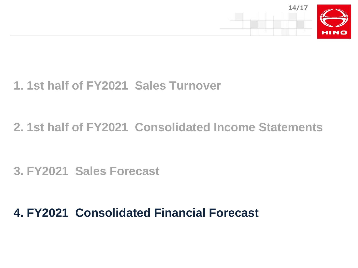

# **1. 1st half of FY2021 Sales Turnover**

# **2. 1st half of FY2021 Consolidated Income Statements**

**3. FY2021 Sales Forecast**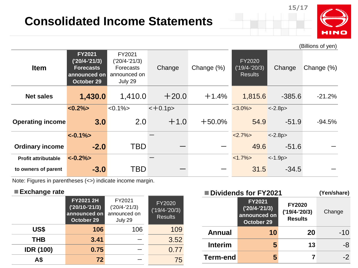# **Consolidated Income Statements**



**15/17**

|                            |                                                                                    |                                                                          |          |            |                                                    |            | (Billions of yen) |
|----------------------------|------------------------------------------------------------------------------------|--------------------------------------------------------------------------|----------|------------|----------------------------------------------------|------------|-------------------|
| <b>Item</b>                | <b>FY2021</b><br>$('20/4-'21/3)$<br><b>Forecasts</b><br>announced on<br>October 29 | FY2021<br>$('20/4-'21/3)$<br><b>Forecasts</b><br>announced on<br>July 29 | Change   | Change (%) | <b>FY2020</b><br>$('19/4-'20/3)$<br><b>Results</b> | Change     | Change (%)        |
| <b>Net sales</b>           | 1,430.0                                                                            | 1,410.0                                                                  | $+20.0$  | $+1.4%$    | 1,815.6                                            | $-385.6$   | $-21.2%$          |
|                            | $<0.2\%$                                                                           | $< 0.1\% >$                                                              | $-+0.1p$ |            | $<3.0\%$                                           | $<-2.8p>$  |                   |
| <b>Operating income</b>    | 3.0                                                                                | 2.0                                                                      | $+1.0$   | $+50.0%$   | 54.9                                               | $-51.9$    | $-94.5%$          |
|                            | $\langle -0.1\% \rangle$                                                           |                                                                          |          |            | $<2.7\%>$                                          | $< -2.8p>$ |                   |
| <b>Ordinary income</b>     | $-2.0$                                                                             | TBD                                                                      |          |            | 49.6                                               | $-51.6$    |                   |
| <b>Profit attributable</b> | $<-0.2\%>$                                                                         |                                                                          |          |            | $<1.7\%>$                                          | $<-1.9p>$  |                   |
| to owners of parent        | $-3.0$                                                                             | TBD                                                                      |          |            | 31.5                                               | $-34.5$    |                   |

Note: Figures in parentheses (<>) indicate income margin.

#### **■Exchange rate**

|                  | FY2021 2H<br>$('20/10-'21/3)$<br>announced on<br>October 29 | FY2021<br>$('20/4-'21/3)$<br>announced on<br>July 29 | FY2020<br>$('19/4-'20/3)$<br><b>Results</b> |
|------------------|-------------------------------------------------------------|------------------------------------------------------|---------------------------------------------|
| US\$             | 106                                                         | 106                                                  | 109                                         |
| <b>THB</b>       | 3.41                                                        |                                                      | 3.52                                        |
| <b>IDR (100)</b> | 0.75                                                        |                                                      | 0.77                                        |
| Α\$              | 72                                                          |                                                      | 75                                          |

| ■Dividends for FY2021 |                                                                |                                                    | (Yen/share) |
|-----------------------|----------------------------------------------------------------|----------------------------------------------------|-------------|
|                       | <b>FY2021</b><br>$('20/4-'21/3)$<br>announced on<br>October 29 | <b>FY2020</b><br>$('19/4-'20/3)$<br><b>Results</b> | Change      |
| <b>Annual</b>         | 10                                                             | 20                                                 | -10         |
| <b>Interim</b>        | 5                                                              | 13                                                 | -8          |
| <b>Term-end</b>       |                                                                |                                                    |             |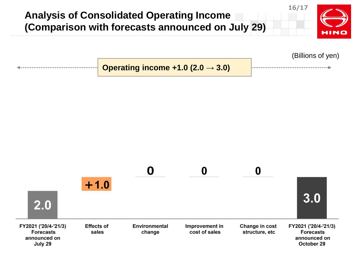

(Billions of yen)

**Operating income +1.0 (2.0 → 3.0)**